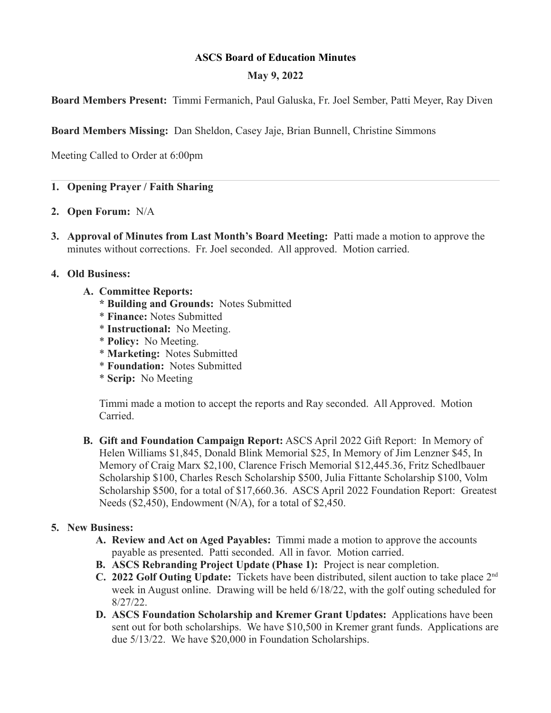# **ASCS Board of Education Minutes**

# **May 9, 2022**

**Board Members Present:** Timmi Fermanich, Paul Galuska, Fr. Joel Sember, Patti Meyer, Ray Diven

**Board Members Missing:** Dan Sheldon, Casey Jaje, Brian Bunnell, Christine Simmons

Meeting Called to Order at 6:00pm

# **1. Opening Prayer / Faith Sharing**

- **2. Open Forum:** N/A
- **3. Approval of Minutes from Last Month's Board Meeting:** Patti made a motion to approve the minutes without corrections. Fr. Joel seconded. All approved. Motion carried.

## **4. Old Business:**

- **A. Committee Reports:**
	- **\* Building and Grounds:** Notes Submitted
	- \* **Finance:** Notes Submitted
	- \* **Instructional:** No Meeting.
	- \* **Policy:** No Meeting.
	- \* **Marketing:** Notes Submitted
	- \* **Foundation:** Notes Submitted
	- \* **Scrip:** No Meeting

Timmi made a motion to accept the reports and Ray seconded. All Approved. Motion Carried.

**B. Gift and Foundation Campaign Report:** ASCS April 2022 Gift Report: In Memory of Helen Williams \$1,845, Donald Blink Memorial \$25, In Memory of Jim Lenzner \$45, In Memory of Craig Marx \$2,100, Clarence Frisch Memorial \$12,445.36, Fritz Schedlbauer Scholarship \$100, Charles Resch Scholarship \$500, Julia Fittante Scholarship \$100, Volm Scholarship \$500, for a total of \$17,660.36. ASCS April 2022 Foundation Report:Greatest Needs (\$2,450), Endowment (N/A), for a total of \$2,450.

## **5. New Business:**

- **A. Review and Act on Aged Payables:** Timmi made a motion to approve the accounts payable as presented. Patti seconded. All in favor. Motion carried.
- **B. ASCS Rebranding Project Update (Phase 1):** Project is near completion.
- **C. 2022 Golf Outing Update:** Tickets have been distributed, silent auction to take place 2nd week in August online. Drawing will be held 6/18/22, with the golf outing scheduled for 8/27/22.
- **D. ASCS Foundation Scholarship and Kremer Grant Updates:** Applications have been sent out for both scholarships. We have \$10,500 in Kremer grant funds. Applications are due 5/13/22. We have \$20,000 in Foundation Scholarships.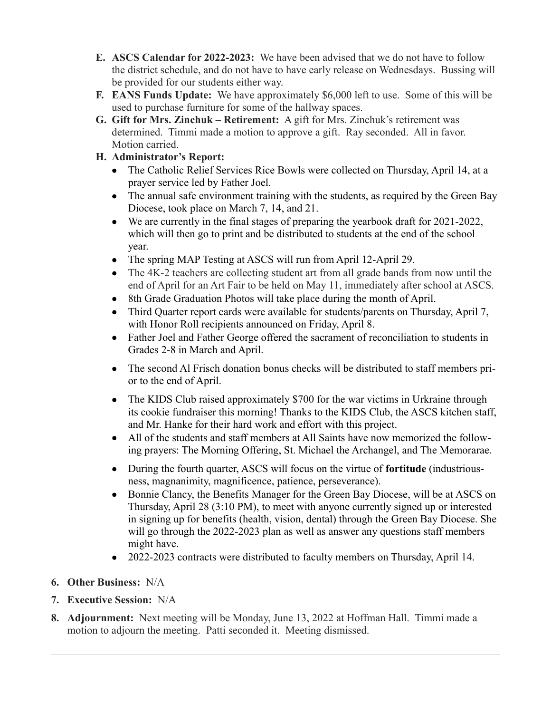- **E. ASCS Calendar for 2022-2023:** We have been advised that we do not have to follow the district schedule, and do not have to have early release on Wednesdays. Bussing will be provided for our students either way.
- **F. EANS Funds Update:** We have approximately \$6,000 left to use. Some of this will be used to purchase furniture for some of the hallway spaces.
- **G. Gift for Mrs. Zinchuk Retirement:** A gift for Mrs. Zinchuk's retirement was determined. Timmi made a motion to approve a gift. Ray seconded. All in favor. Motion carried.
- **H. Administrator's Report:**
	- The Catholic Relief Services Rice Bowls were collected on Thursday, April 14, at a prayer service led by Father Joel.
	- The annual safe environment training with the students, as required by the Green Bay Diocese, took place on March 7, 14, and 21.
	- We are currently in the final stages of preparing the yearbook draft for 2021-2022, which will then go to print and be distributed to students at the end of the school year.
	- The spring MAP Testing at ASCS will run from April 12-April 29.
	- The 4K-2 teachers are collecting student art from all grade bands from now until the end of April for an Art Fair to be held on May 11, immediately after school at ASCS.
	- 8th Grade Graduation Photos will take place during the month of April.
	- Third Quarter report cards were available for students/parents on Thursday, April 7, with Honor Roll recipients announced on Friday, April 8.
	- Father Joel and Father George offered the sacrament of reconciliation to students in Grades 2-8 in March and April.
	- The second Al Frisch donation bonus checks will be distributed to staff members prior to the end of April.
	- The KIDS Club raised approximately \$700 for the war victims in Urkraine through its cookie fundraiser this morning! Thanks to the KIDS Club, the ASCS kitchen staff, and Mr. Hanke for their hard work and effort with this project.
	- All of the students and staff members at All Saints have now memorized the following prayers: The Morning Offering, St. Michael the Archangel, and The Memorarae.
	- During the fourth quarter, ASCS will focus on the virtue of **fortitude** (industriousness, magnanimity, magnificence, patience, perseverance).
	- Bonnie Clancy, the Benefits Manager for the Green Bay Diocese, will be at ASCS on Thursday, April 28 (3:10 PM), to meet with anyone currently signed up or interested in signing up for benefits (health, vision, dental) through the Green Bay Diocese. She will go through the 2022-2023 plan as well as answer any questions staff members might have.
	- 2022-2023 contracts were distributed to faculty members on Thursday, April 14.
- **6. Other Business:** N/A
- **7. Executive Session:** N/A
- **8. Adjournment:** Next meeting will be Monday, June 13, 2022 at Hoffman Hall. Timmi made a motion to adjourn the meeting. Patti seconded it. Meeting dismissed.